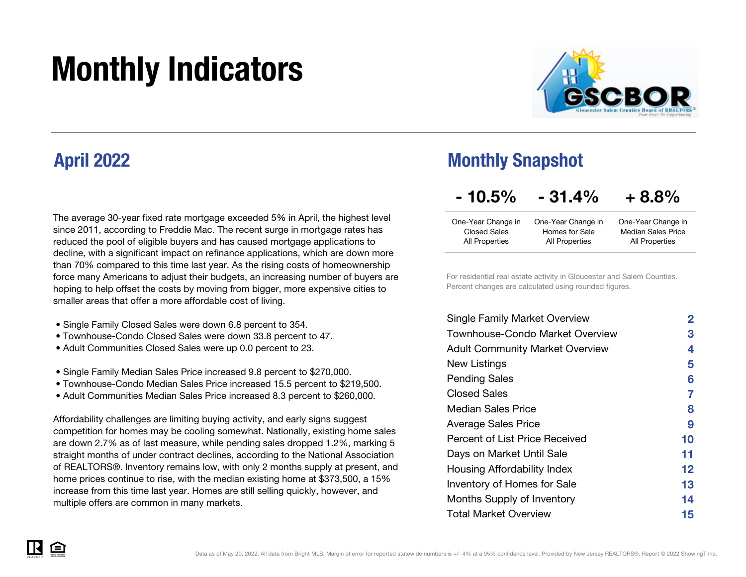# Monthly Indicators



### April 2022

The average 30-year fixed rate mortgage exceeded 5% in April, the highest level since 2011, according to Freddie Mac. The recent surge in mortgage rates has reduced the pool of eligible buyers and has caused mortgage applications to decline, with a significant impact on refinance applications, which are down more than 70% compared to this time last year. As the rising costs of homeownership force many Americans to adjust their budgets, an increasing number of buyers are hoping to help offset the costs by moving from bigger, more expensive cities to smaller areas that offer a more affordable cost of living.

- Single Family Closed Sales were down 6.8 percent to 354.
- Townhouse-Condo Closed Sales were down 33.8 percent to 47.
- Adult Communities Closed Sales were up 0.0 percent to 23.
- Single Family Median Sales Price increased 9.8 percent to \$270,000.
- Townhouse-Condo Median Sales Price increased 15.5 percent to \$219,500.
- Adult Communities Median Sales Price increased 8.3 percent to \$260,000.

Affordability challenges are limiting buying activity, and early signs suggest competition for homes may be cooling somewhat. Nationally, existing home sales are down 2.7% as of last measure, while pending sales dropped 1.2%, marking 5 straight months of under contract declines, according to the National Association of REALTORS®. Inventory remains low, with only 2 months supply at present, and home prices continue to rise, with the median existing home at \$373,500, a 15% increase from this time last year. Homes are still selling quickly, however, and multiple offers are common in many markets.

### Monthly Snapshot

#### $-10.5\%$   $-31.4\%$ + 8.8%

| One-Year Change in  | One-Year Change in | One-Year Change in        |
|---------------------|--------------------|---------------------------|
| <b>Closed Sales</b> | Homes for Sale     | <b>Median Sales Price</b> |
| All Properties      | All Properties     | All Properties            |

For residential real estate activity in Gloucester and Salem Counties. Percent changes are calculated using rounded figures.

| 2       |
|---------|
| З       |
| 4       |
| 5       |
| 6       |
| 7       |
| 8       |
| 9       |
| 10      |
| 11      |
| $12 \,$ |
| 13      |
| 14      |
| 15      |
|         |

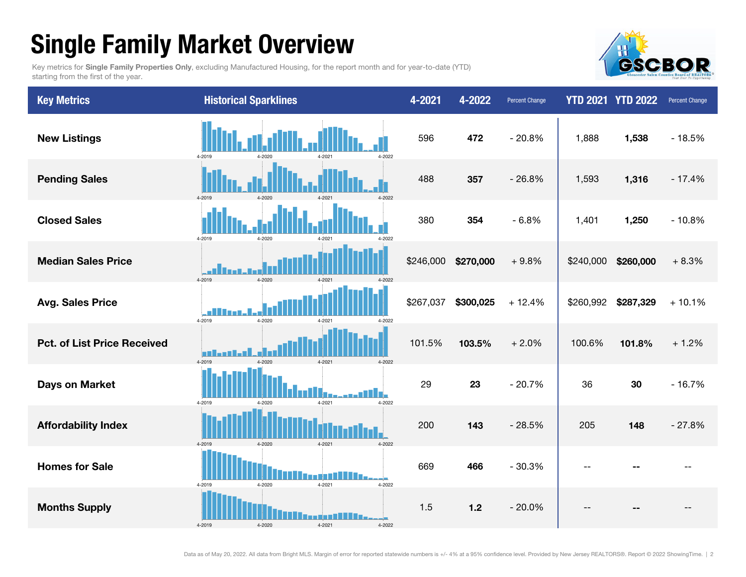# Single Family Market Overview

Key metrics for Single Family Properties Only, excluding Manufactured Housing, for the report month and for year-to-date (YTD) starting from the first of the year.



| <b>Key Metrics</b>                 | <b>Historical Sparklines</b>             | 4-2021    | 4-2022    | <b>Percent Change</b> |           | <b>YTD 2021 YTD 2022</b> | Percent Change |
|------------------------------------|------------------------------------------|-----------|-----------|-----------------------|-----------|--------------------------|----------------|
| <b>New Listings</b>                | 4-2022<br>4-2019<br>4-2021<br>$1 - 2020$ | 596       | 472       | $-20.8%$              | 1,888     | 1,538                    | $-18.5%$       |
| <b>Pending Sales</b>               | 4-2019<br>4-2021<br>1-2020               | 488       | 357       | $-26.8%$              | 1,593     | 1,316                    | $-17.4%$       |
| <b>Closed Sales</b>                | 4-2019<br>4-2020<br>4-2021<br>4-2022     | 380       | 354       | $-6.8%$               | 1,401     | 1,250                    | $-10.8%$       |
| <b>Median Sales Price</b>          | 4-2019<br>$4 - 2020$<br>4-2022           | \$246,000 | \$270,000 | $+9.8%$               | \$240,000 | \$260,000                | $+8.3%$        |
| <b>Avg. Sales Price</b>            | 4-2019<br>4-2020<br>4-2021<br>4-2022     | \$267,037 | \$300,025 | $+12.4%$              | \$260,992 | \$287,329                | $+10.1%$       |
| <b>Pct. of List Price Received</b> | 4-2019<br>$4 - 2021$<br>4-2022           | 101.5%    | 103.5%    | $+2.0%$               | 100.6%    | 101.8%                   | $+1.2%$        |
| <b>Days on Market</b>              | 4-2021<br>4-2022<br>4-2019<br>4-2020     | 29        | 23        | $-20.7%$              | 36        | 30                       | $-16.7%$       |
| <b>Affordability Index</b>         | 4-2019<br>4-2020<br>4-2022<br>4-2021     | 200       | 143       | $-28.5%$              | 205       | 148                      | $-27.8%$       |
| <b>Homes for Sale</b>              | 4-2020<br>4-2021<br>4-2022<br>4-2019     | 669       | 466       | $-30.3%$              | $-$       |                          |                |
| <b>Months Supply</b>               | 4-2019<br>4-2022                         | 1.5       | $1.2$     | $-20.0%$              |           |                          |                |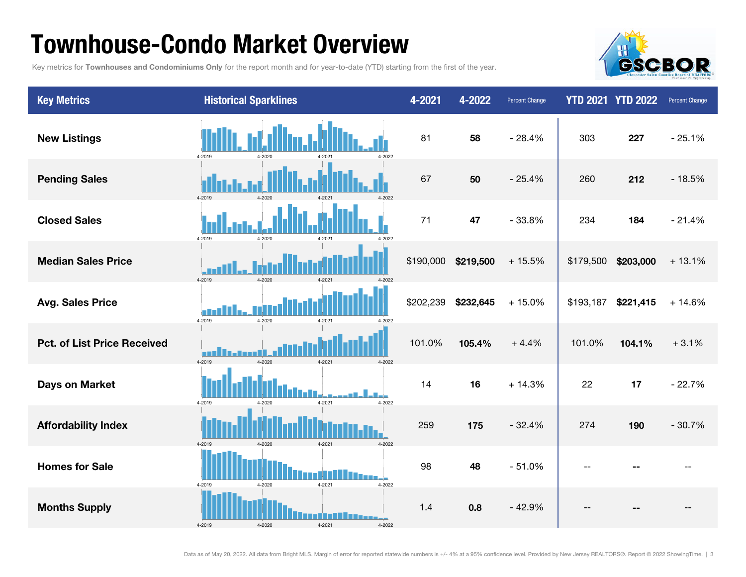### Townhouse-Condo Market Overview

Key metrics for Townhouses and Condominiums Only for the report month and for year-to-date (YTD) starting from the first of the year.



| <b>Key Metrics</b>                 | <b>Historical Sparklines</b>               | 4-2021    | 4-2022    | <b>Percent Change</b> |           | <b>YTD 2021 YTD 2022</b> | <b>Percent Change</b> |
|------------------------------------|--------------------------------------------|-----------|-----------|-----------------------|-----------|--------------------------|-----------------------|
| <b>New Listings</b>                | 4-2019<br>4-2022<br>4-2020                 | 81        | 58        | $-28.4%$              | 303       | 227                      | $-25.1%$              |
| <b>Pending Sales</b>               | $4 - 2019$<br>4-2020<br>4-202              | 67        | 50        | $-25.4%$              | 260       | 212                      | $-18.5%$              |
| <b>Closed Sales</b>                | 4-2019<br>4-2020<br>4-2021<br>4-2022       | 71        | 47        | $-33.8%$              | 234       | 184                      | $-21.4%$              |
| <b>Median Sales Price</b>          | 4-2019<br>4-2020                           | \$190,000 | \$219,500 | $+15.5%$              | \$179,500 | \$203,000                | $+13.1%$              |
| <b>Avg. Sales Price</b>            | П.<br>4-2019<br>4-2020<br>4-2021<br>4-2022 | \$202,239 | \$232,645 | $+15.0%$              | \$193,187 | \$221,415                | $+14.6%$              |
| <b>Pct. of List Price Received</b> | m<br>4-2019<br>4-2020<br>4-2021<br>4-2022  | 101.0%    | 105.4%    | $+4.4%$               | 101.0%    | 104.1%                   | $+3.1%$               |
| Days on Market                     | $4 - 2021$<br>4-2022<br>4-2019<br>4-2020   | 14        | 16        | $+14.3%$              | 22        | 17                       | $-22.7%$              |
| <b>Affordability Index</b>         | 4-2019<br>4-2020<br>4-2021<br>4-2022       | 259       | 175       | $-32.4%$              | 274       | 190                      | $-30.7%$              |
| <b>Homes for Sale</b>              | 4-2021<br>4-2022<br>4-2019<br>4-2020       | 98        | 48        | $-51.0%$              | --        |                          |                       |
| <b>Months Supply</b>               | 4-2019<br>4-2020<br>4-2021<br>4-2022       | 1.4       | 0.8       | $-42.9%$              |           |                          |                       |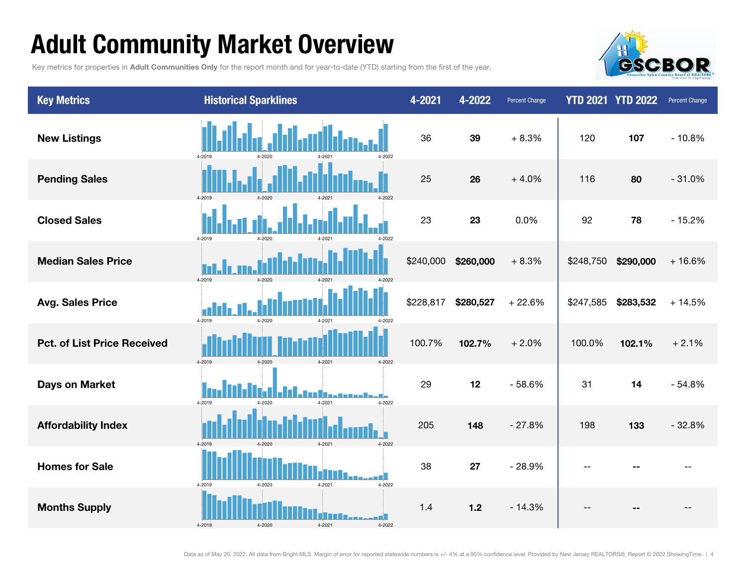# Adult Community Market Overview

Key metrics for properties in Adult Communities Only for the report month and for year-to-date (YTD) starting from the first of the year.



| <b>Key Metrics</b>                 | <b>Historical Sparklines</b>                  | 4-2021    | 4-2022    | <b>Percent Change</b> |           | <b>YTD 2021 YTD 2022</b> | Percent Change |
|------------------------------------|-----------------------------------------------|-----------|-----------|-----------------------|-----------|--------------------------|----------------|
| <b>New Listings</b>                | 4-2019<br>4-2022<br>$4 - 2020$                | 36        | 39        | $+8.3%$               | 120       | 107                      | $-10.8%$       |
| <b>Pending Sales</b>               | 4-2019<br>$4 - 202$                           | 25        | 26        | $+4.0%$               | 116       | 80                       | $-31.0%$       |
| <b>Closed Sales</b>                | 4-2019<br>4-2020<br>4-2022                    | 23        | 23        | 0.0%                  | 92        | 78                       | $-15.2%$       |
| <b>Median Sales Price</b>          | 4-2019<br>4-2020<br>$4 - 202 -$<br>$4 - 2022$ | \$240,000 | \$260,000 | $+8.3%$               | \$248,750 | \$290,000                | $+16.6%$       |
| <b>Avg. Sales Price</b>            | 4-2019<br>4-2020<br>4-2021<br>4-2022          | \$228,817 | \$280,527 | $+22.6%$              | \$247,585 | \$283,532                | $+14.5%$       |
| <b>Pct. of List Price Received</b> | 4-2019<br>4-2021<br>4-2022<br>4-2020          | 100.7%    | 102.7%    | $+2.0%$               | 100.0%    | 102.1%                   | $+2.1%$        |
| <b>Days on Market</b>              | 4-2019<br>4-2021<br>4-2022<br>4-2020          | 29        | 12        | $-58.6%$              | 31        | 14                       | $-54.8%$       |
| <b>Affordability Index</b>         | 4-2019<br>4-2020<br>4-2021<br>4-2022          | 205       | 148       | $-27.8%$              | 198       | 133                      | $-32.8%$       |
| <b>Homes for Sale</b>              | 4-2019<br>4-2021<br>4-2022<br>4-2020          | 38        | 27        | $-28.9%$              | $-$       |                          |                |
| <b>Months Supply</b>               | 4-2019<br>4-2020<br>4-2021<br>4-2022          | 1.4       | $1.2$     | $-14.3%$              |           |                          |                |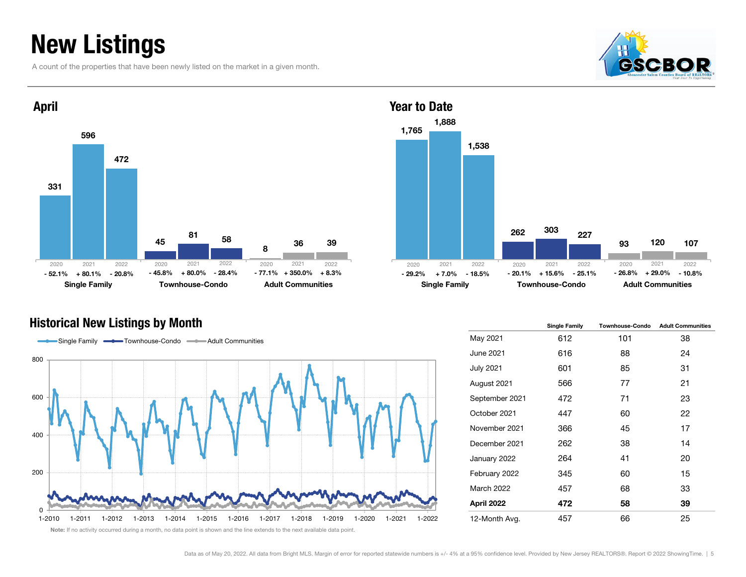## New Listings

A count of the properties that have been newly listed on the market in a given month.





#### 1,765 262931,888 303 1201,538 227107Single Family **Townhouse-Condo** Adult Communities Year to Date% - 20.8% - 45.8% + 80.0% - 28.4% - 77.1% + 350.0% + 8.3% - 29.2% + 7.0% - 18.5% - 20.1% + 15.6% - 25.1% - 26.8% + 29.0% - 10.8% 2021 2022 2020 2021 2022 2020 2021 2022- 26.8%



Historical New Listings by Month Single Table 12 and Single Family Townhouse-Condo Adult Communities May 2021 612 101 38 June 2021 616 88 24 July 2021 601 85 31 August 2021 566 77 21 September 2021 472 71 23 October 2021 447 60 22 November 2021 366 45 17 December 2021 262 38 14 January 2022 264 41 20 February 2022 345 60 15 March 2022 457 68 33 April 2022 472 58 39 12-Month Avg. 457 66 25

Note: If no activity occurred during a month, no data point is shown and the line extends to the next available data point.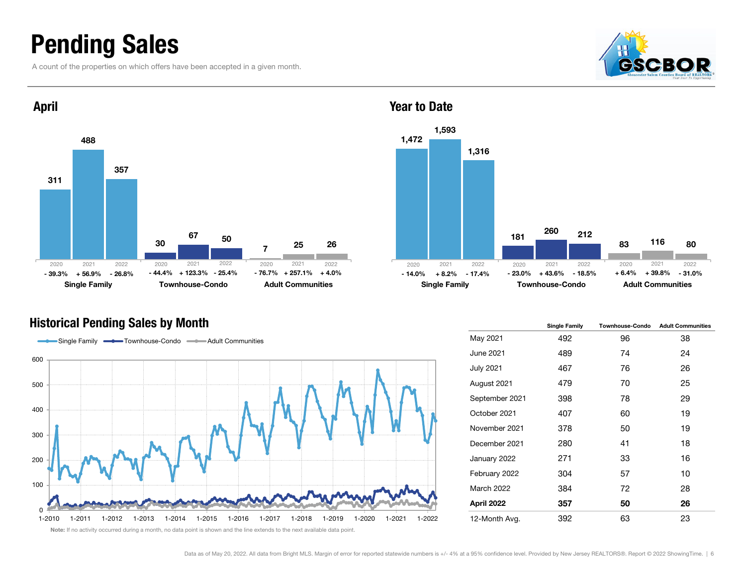### Pending Sales

A count of the properties on which offers have been accepted in a given month.





#### Historical Pending Sales by Month





|                   | <b>Single Family</b> | <b>Townhouse-Condo</b> | <b>Adult Communities</b> |
|-------------------|----------------------|------------------------|--------------------------|
| May 2021          | 492                  | 96                     | 38                       |
| June 2021         | 489                  | 74                     | 24                       |
| <b>July 2021</b>  | 467                  | 76                     | 26                       |
| August 2021       | 479                  | 70                     | 25                       |
| September 2021    | 398                  | 78                     | 29                       |
| October 2021      | 407                  | 60                     | 19                       |
| November 2021     | 378                  | 50                     | 19                       |
| December 2021     | 280                  | 41                     | 18                       |
| January 2022      | 271                  | 33                     | 16                       |
| February 2022     | 304                  | 57                     | 10                       |
| <b>March 2022</b> | 384                  | 72                     | 28                       |
| April 2022        | 357                  | 50                     | 26                       |
| 12-Month Avg.     | 392                  | 63                     | 23                       |

Year to Date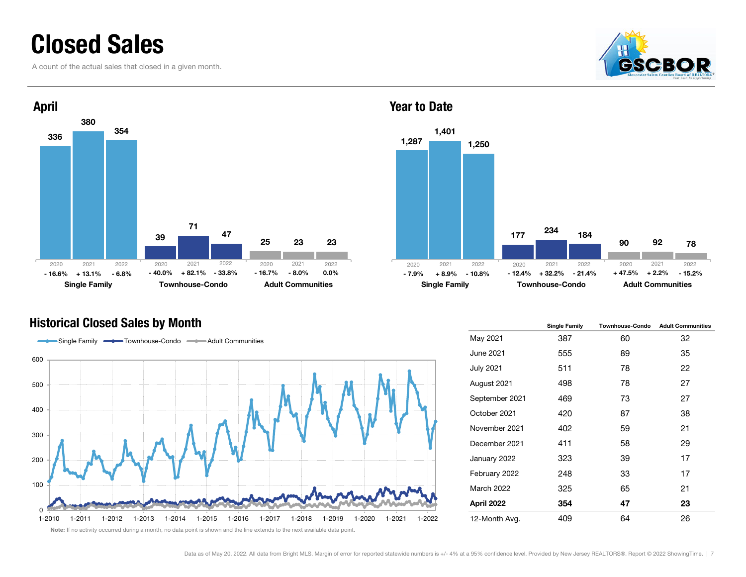### Closed Sales

A count of the actual sales that closed in a given month.





#### Year to Date



#### Historical Closed Sales by Month



|                  | <b>Single Family</b> | <b>Townhouse-Condo</b> | <b>Adult Communities</b> |
|------------------|----------------------|------------------------|--------------------------|
| May 2021         | 387                  | 60                     | 32                       |
| June 2021        | 555                  | 89                     | 35                       |
| <b>July 2021</b> | 511                  | 78                     | 22                       |
| August 2021      | 498                  | 78                     | 27                       |
| September 2021   | 469                  | 73                     | 27                       |
| October 2021     | 420                  | 87                     | 38                       |
| November 2021    | 402                  | 59                     | 21                       |
| December 2021    | 411                  | 58                     | 29                       |
| January 2022     | 323                  | 39                     | 17                       |
| February 2022    | 248                  | 33                     | 17                       |
| March 2022       | 325                  | 65                     | 21                       |
| April 2022       | 354                  | 47                     | 23                       |
| 12-Month Avg.    | 409                  | 64                     | 26                       |

Note: If no activity occurred during a month, no data point is shown and the line extends to the next available data point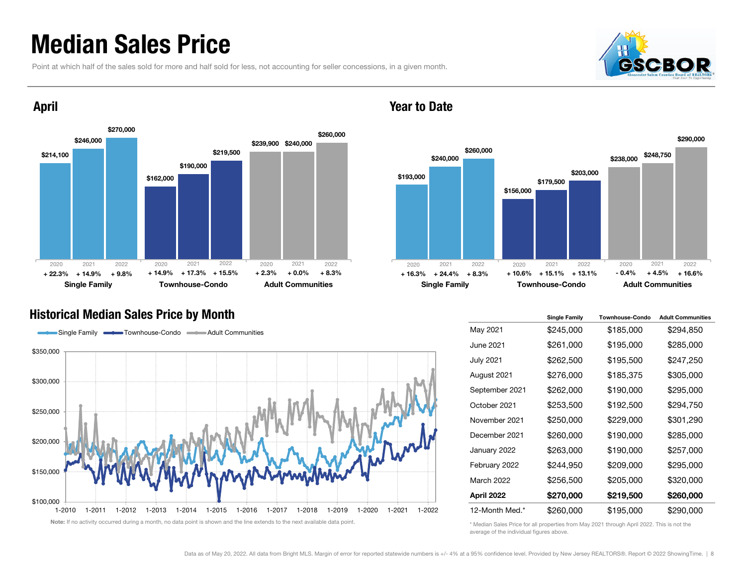### Median Sales Price

April

Point at which half of the sales sold for more and half sold for less, not accounting for seller concessions, in a given month.





Year to Date



#### Historical Median Sales Price by Month



|                   | <b>Single Family</b> | <b>Townhouse-Condo</b> | <b>Adult Communities</b> |
|-------------------|----------------------|------------------------|--------------------------|
| May 2021          | \$245,000            | \$185,000              | \$294,850                |
| June 2021         | \$261,000            | \$195,000              | \$285,000                |
| <b>July 2021</b>  | \$262,500            | \$195,500              | \$247,250                |
| August 2021       | \$276,000            | \$185,375              | \$305,000                |
| September 2021    | \$262,000            | \$190,000              | \$295,000                |
| October 2021      | \$253,500            | \$192,500              | \$294,750                |
| November 2021     | \$250,000            | \$229,000              | \$301,290                |
| December 2021     | \$260,000            | \$190,000              | \$285,000                |
| January 2022      | \$263,000            | \$190,000              | \$257,000                |
| February 2022     | \$244,950            | \$209,000              | \$295,000                |
| <b>March 2022</b> | \$256,500            | \$205,000              | \$320,000                |
| April 2022        | \$270,000            | \$219,500              | \$260,000                |
| 12-Month Med.*    | \$260,000            | \$195,000              | \$290,000                |

\* Median Sales Price for all properties from May 2021 through April 2022. This is not the average of the individual figures above.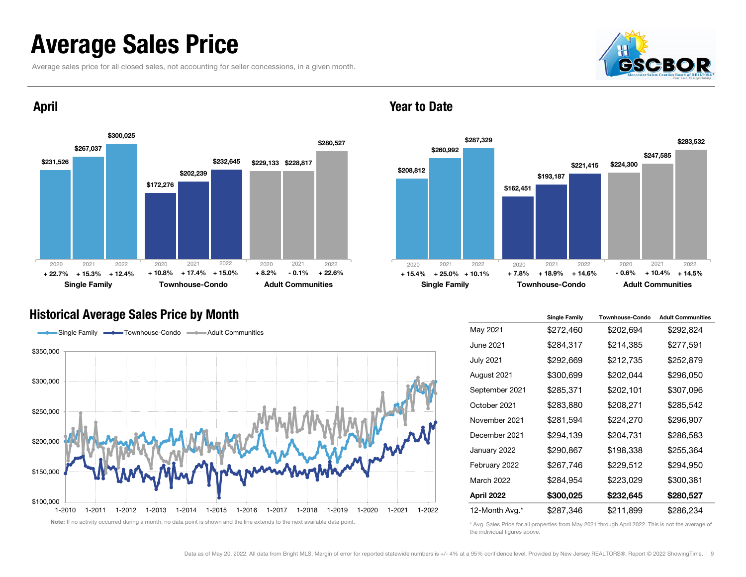### Average Sales Price

Average sales price for all closed sales, not accounting for seller concessions, in a given month.





April

#### Year to Date



#### Historical Average Sales Price by Month



|                   | <b>Single Family</b> | <b>Townhouse-Condo</b> | <b>Adult Communities</b> |
|-------------------|----------------------|------------------------|--------------------------|
| May 2021          | \$272,460            | \$202,694              | \$292,824                |
| June 2021         | \$284,317            | \$214,385              | \$277,591                |
| <b>July 2021</b>  | \$292,669            | \$212,735              | \$252,879                |
| August 2021       | \$300,699            | \$202,044              | \$296,050                |
| September 2021    | \$285,371            | \$202,101              | \$307,096                |
| October 2021      | \$283,880            | \$208,271              | \$285,542                |
| November 2021     | \$281,594            | \$224,270              | \$296,907                |
| December 2021     | \$294,139            | \$204,731              | \$286,583                |
| January 2022      | \$290,867            | \$198,338              | \$255,364                |
| February 2022     | \$267,746            | \$229,512              | \$294,950                |
| <b>March 2022</b> | \$284,954            | \$223,029              | \$300,381                |
| April 2022        | \$300,025            | \$232,645              | \$280,527                |
| 12-Month Avg.*    | \$287,346            | \$211,899              | \$286,234                |

\* Avg. Sales Price for all properties from May 2021 through April 2022. This is not the average of the individual figures above.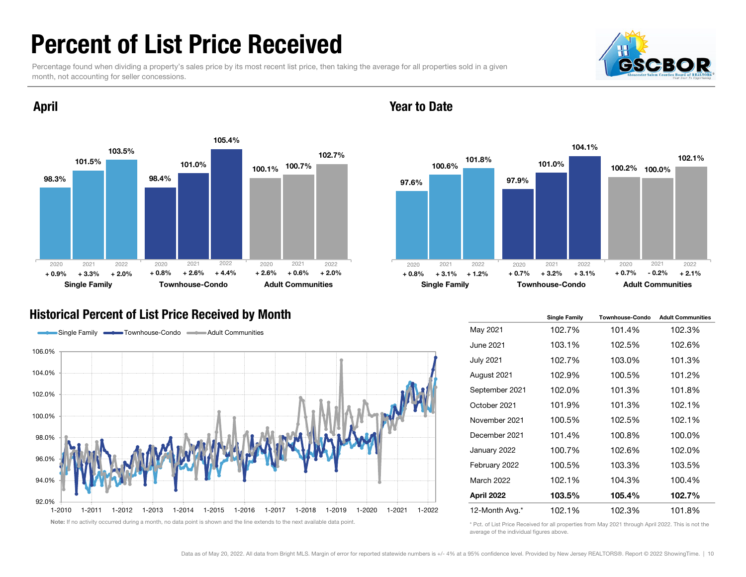### Percent of List Price Received

Percentage found when dividing a property's sales price by its most recent list price, then taking the average for all properties sold in a given month, not accounting for seller concessions.





### April

### Historical Percent of List Price Received by Month



Year to Date



|                   | <b>Single Family</b> | <b>Townhouse-Condo</b> | <b>Adult Communities</b> |
|-------------------|----------------------|------------------------|--------------------------|
| May 2021          | 102.7%               | 101.4%                 | 102.3%                   |
| <b>June 2021</b>  | 103.1%               | 102.5%                 | 102.6%                   |
| <b>July 2021</b>  | 102.7%               | 103.0%                 | 101.3%                   |
| August 2021       | 102.9%               | 100.5%                 | 101.2%                   |
| September 2021    | 102.0%               | 101.3%                 | 101.8%                   |
| October 2021      | 101.9%               | 101.3%                 | 102.1%                   |
| November 2021     | 100.5%               | 102.5%                 | 102.1%                   |
| December 2021     | 101.4%               | 100.8%                 | 100.0%                   |
| January 2022      | 100.7%               | 102.6%                 | 102.0%                   |
| February 2022     | 100.5%               | 103.3%                 | 103.5%                   |
| <b>March 2022</b> | 102.1%               | 104.3%                 | 100.4%                   |
| April 2022        | 103.5%               | 105.4%                 | 102.7%                   |
| 12-Month Avg.*    | 102.1%               | 102.3%                 | 101.8%                   |

\* Pct. of List Price Received for all properties from May 2021 through April 2022. This is not the average of the individual figures above.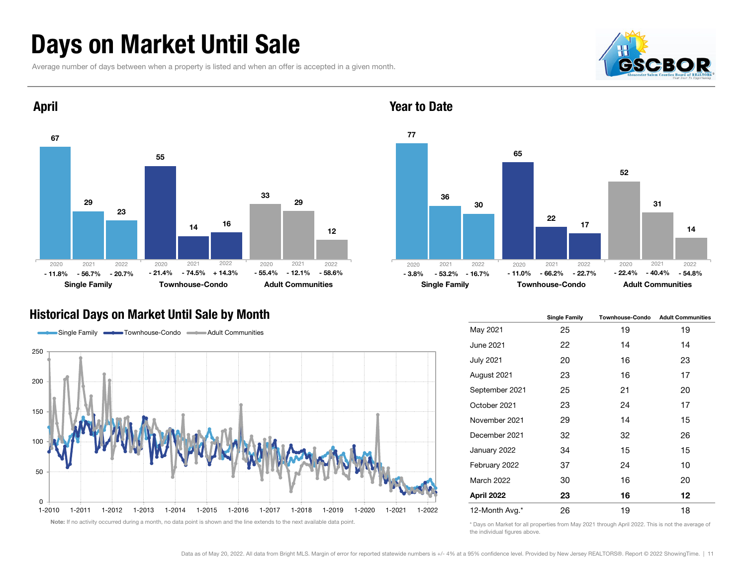### Days on Market Until Sale

Average number of days between when a property is listed and when an offer is accepted in a given month.





### Year to Date



#### Historical Days on Market Until Sale by Month



|                   | <b>Single Family</b> | <b>Townhouse-Condo</b> | <b>Adult Communities</b> |
|-------------------|----------------------|------------------------|--------------------------|
| May 2021          | 25                   | 19                     | 19                       |
| June 2021         | 22                   | 14                     | 14                       |
| July 2021         | 20                   | 16                     | 23                       |
| August 2021       | 23                   | 16                     | 17                       |
| September 2021    | 25                   | 21                     | 20                       |
| October 2021      | 23                   | 24                     | 17                       |
| November 2021     | 29                   | 14                     | 15                       |
| December 2021     | 32                   | 32                     | 26                       |
| January 2022      | 34                   | 15                     | 15                       |
| February 2022     | 37                   | 24                     | 10                       |
| <b>March 2022</b> | 30                   | 16                     | 20                       |
| April 2022        | 23                   | 16                     | 12                       |
| 12-Month Avg.*    | 26                   | 19                     | 18                       |

\* Days on Market for all properties from May 2021 through April 2022. This is not the average of the individual figures above.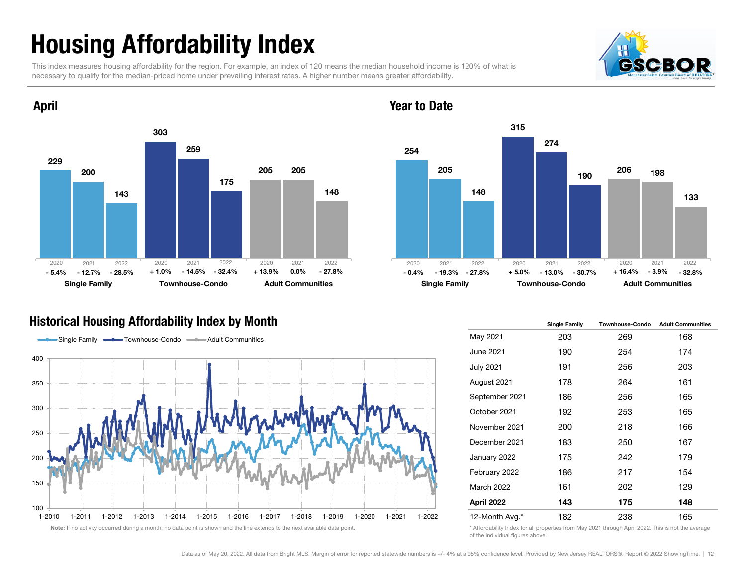# Housing Affordability Index

April

This index measures housing affordability for the region. For example, an index of 120 means the median household income is 120% of what is necessary to qualify for the median-priced home under prevailing interest rates. A higher number means greater affordability.





#### Year to Date



### Historical Housing Affordability Index by Month



|                   | <b>Single Family</b> | <b>Townhouse-Condo</b> | <b>Adult Communities</b> |
|-------------------|----------------------|------------------------|--------------------------|
| May 2021          | 203                  | 269                    | 168                      |
| June 2021         | 190                  | 254                    | 174                      |
| <b>July 2021</b>  | 191                  | 256                    | 203                      |
| August 2021       | 178                  | 264                    | 161                      |
| September 2021    | 186                  | 256                    | 165                      |
| October 2021      | 192                  | 253                    | 165                      |
| November 2021     | 200                  | 218                    | 166                      |
| December 2021     | 183                  | 250                    | 167                      |
| January 2022      | 175                  | 242                    | 179                      |
| February 2022     | 186                  | 217                    | 154                      |
| <b>March 2022</b> | 161                  | 202                    | 129                      |
| April 2022        | 143                  | 175                    | 148                      |
| 12-Month Avg.*    | 182                  | 238                    | 165                      |

\* Affordability Index for all properties from May 2021 through April 2022. This is not the average of the individual figures above.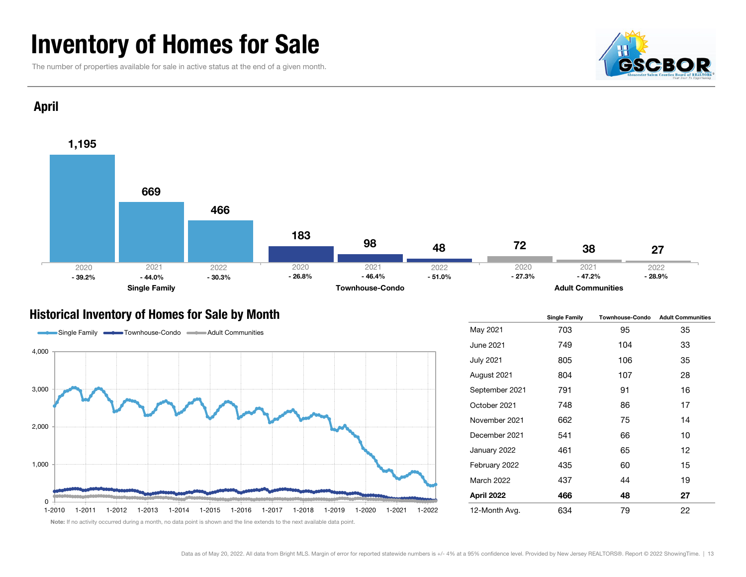### Inventory of Homes for Sale

The number of properties available for sale in active status at the end of a given month.





#### Historical Inventory of Homes for Sale by Month



|                   | <b>Single Family</b> | <b>Townhouse-Condo</b> | <b>Adult Communities</b> |  |  |
|-------------------|----------------------|------------------------|--------------------------|--|--|
| May 2021          | 703                  | 95                     | 35                       |  |  |
| June 2021         | 749                  | 104                    | 33                       |  |  |
| <b>July 2021</b>  | 805                  | 106                    | 35                       |  |  |
| August 2021       | 804                  | 107                    | 28                       |  |  |
| September 2021    | 791                  | 91                     | 16                       |  |  |
| October 2021      | 748                  | 86                     | 17                       |  |  |
| November 2021     | 662                  | 75                     | 14                       |  |  |
| December 2021     | 541                  | 66                     | 10                       |  |  |
| January 2022      | 461                  | 65                     | 12                       |  |  |
| February 2022     | 435                  | 60                     | 15                       |  |  |
| <b>March 2022</b> | 437                  | 44                     | 19                       |  |  |
| April 2022        | 466                  | 48                     | 27                       |  |  |
| 12-Month Avg.     | 634                  | 79                     | 22                       |  |  |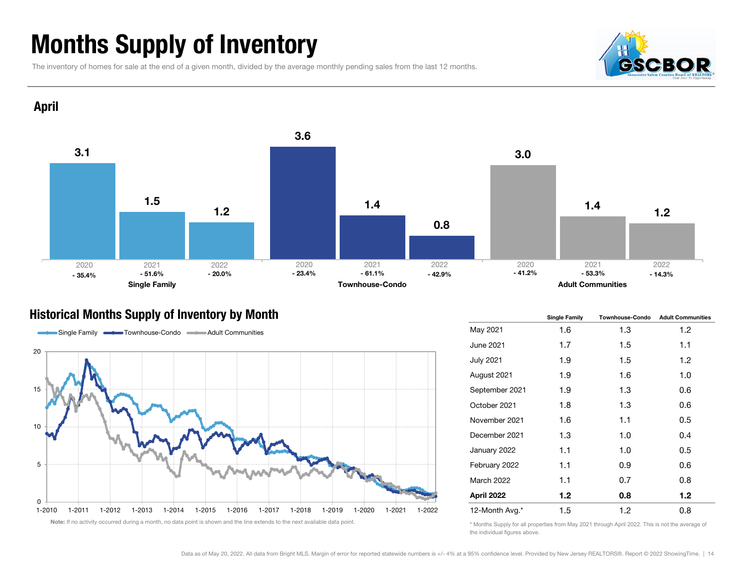# Months Supply of Inventory

The inventory of homes for sale at the end of a given month, divided by the average monthly pending sales from the last 12 months.





### Historical Months Supply of Inventory by Month



|                   | <b>Single Family</b> | <b>Townhouse-Condo</b> | <b>Adult Communities</b> |  |  |
|-------------------|----------------------|------------------------|--------------------------|--|--|
| May 2021          | 1.6                  | 1.3                    | 1.2                      |  |  |
| June 2021         | 1.7                  | $1.5\,$                | 1.1                      |  |  |
| <b>July 2021</b>  | 1.9                  | $1.5\,$                | 1.2                      |  |  |
| August 2021       | 1.9                  | 1.6                    | 1.0                      |  |  |
| September 2021    | 1.9                  | 1.3                    | 0.6                      |  |  |
| October 2021      | 1.8                  | 1.3                    | 0.6                      |  |  |
| November 2021     | 1.6                  | 1.1                    | 0.5                      |  |  |
| December 2021     | 1.3                  | 1.0                    | 0.4                      |  |  |
| January 2022      | 1.1                  | 1.0                    | 0.5                      |  |  |
| February 2022     | 1.1                  | 0.9                    | 0.6                      |  |  |
| <b>March 2022</b> | 1.1                  | 0.7                    | 0.8                      |  |  |
| April 2022        | 1.2 <sub>1</sub>     | 0.8                    | 1.2 <sub>1</sub>         |  |  |
| 12-Month Avg.*    | 1.5                  | 1.2                    | 0.8                      |  |  |

\* Months Supply for all properties from May 2021 through April 2022. This is not the average of the individual figures above.